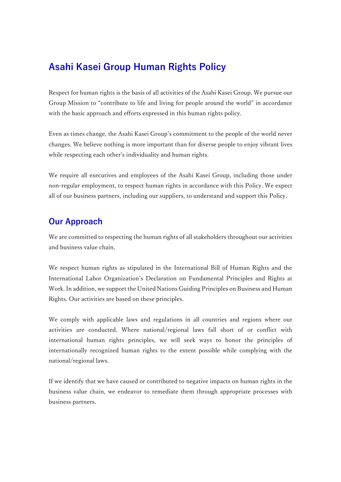# **Asahi Kasei Group Human Rights Policy**

Respect for human rights is the basis of all activities of the Asahi Kasei Group. We pursue our Group Mission to "contribute to life and living for people around the world" in accordance with the basic approach and efforts expressed in this human rights policy.

Even as times change, the Asahi Kasei Group's commitment to the people of the world never changes. We believe nothing is more important than for diverse people to enjoy vibrant lives while respecting each other's individuality and human rights.

We require all executives and employees of the Asahi Kasei Group, including those under non-regular employment, to respect human rights in accordance with this Policy. We expect all of our business partners, including our suppliers, to understand and support this Policy.

## **Our Approach**

We are committed to respecting the human rights of all stakeholders throughout our activities and business value chain.

We respect human rights as stipulated in the International Bill of Human Rights and the International Labor Organization's Declaration on Fundamental Principles and Rights at Work. In addition, we support the United Nations Guiding Principles on Business and Human Rights. Our activities are based on these principles.

We comply with applicable laws and regulations in all countries and regions where our activities are conducted. Where national/regional laws fall short of or conflict with international human rights principles, we will seek ways to honor the principles of internationally recognized human rights to the extent possible while complying with the national/regional laws.

If we identify that we have caused or contributed to negative impacts on human rights in the business value chain, we endeavor to remediate them through appropriate processes with business partners.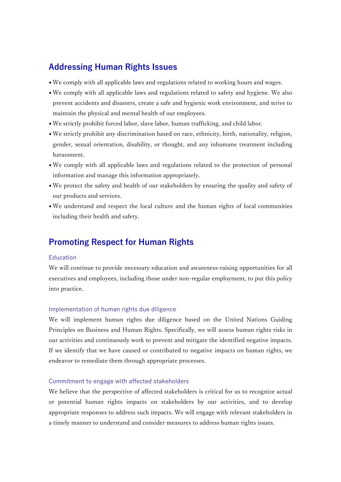## **Addressing Human Rights Issues**

- We comply with all applicable laws and regulations related to working hours and wages.
- We comply with all applicable laws and regulations related to safety and hygiene. We also prevent accidents and disasters, create a safe and hygienic work environment, and strive to maintain the physical and mental health of our employees.
- We strictly prohibit forced labor, slave labor, human trafficking, and child labor.
- We strictly prohibit any discrimination based on race, ethnicity, birth, nationality, religion, gender, sexual orientation, disability, or thought, and any inhumane treatment including harassment.
- We comply with all applicable laws and regulations related to the protection of personal information and manage this information appropriately.
- We protect the safety and health of our stakeholders by ensuring the quality and safety of our products and services.
- We understand and respect the local culture and the human rights of local communities including their health and safety.

### **Promoting Respect for Human Rights**

#### Education

We will continue to provide necessary education and awareness-raising opportunities for all executives and employees, including those under non-regular employment, to put this policy into practice.

#### Implementation of human rights due diligence

We will implement human rights due diligence based on the United Nations Guiding Principles on Business and Human Rights. Specifically, we will assess human rights risks in our activities and continuously work to prevent and mitigate the identified negative impacts. If we identify that we have caused or contributed to negative impacts on human rights, we endeavor to remediate them through appropriate processes.

#### Commitment to engage with affected stakeholders

We believe that the perspective of affected stakeholders is critical for us to recognize actual or potential human rights impacts on stakeholders by our activities, and to develop appropriate responses to address such impacts. We will engage with relevant stakeholders in a timely manner to understand and consider measures to address human rights issues.